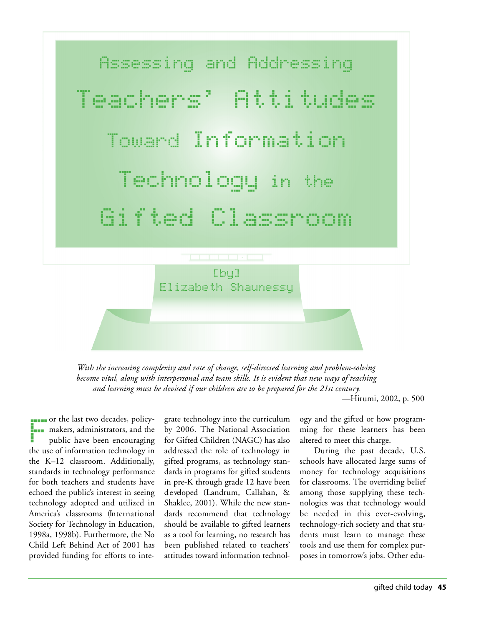

*With the increasing complexity and rate of change, self-directed learning and problem-solving become vital, along with interpersonal and team skills. It is evident that new ways of teaching and learning must be devised if our children are to be prepared for the 21st century.* —Hirumi, 2002, p. 500

F **FILLE** or the last two decades, policymakers, administrators, and the public have been encouraging the use of information technology in the K-12 classroom. Additionally, standards in technology performance for both teachers and students have echoed the public's interest in seeing technology adopted and utilized in America's classrooms (International Society for Technology in Education, 1998a, 1998b). Furthermore, the No Child Left Behind Act of 2001 has provided funding for efforts to integrate technology into the curriculum by 2006. The National Association for Gifted Children (NAGC) has also addressed the role of technology in gifted programs, as technology standards in programs for gifted students in pre-K through grade 12 have been d e veloped (Landrum, Callahan, & Shaklee, 2001). While the new standards recommend that technology should be available to gifted learners as a tool for learning, no research has been published related to teachers' attitudes toward information technol-

ogy and the gifted or how programming for these learners has been altered to meet this charge.

During the past decade, U.S. schools have allocated large sums of money for technology acquisitions for classrooms. The overriding belief among those supplying these technologies was that technology would be needed in this ever-evolving, technology-rich society and that students must learn to manage these tools and use them for complex purposes in tomorrow's jobs. Other edu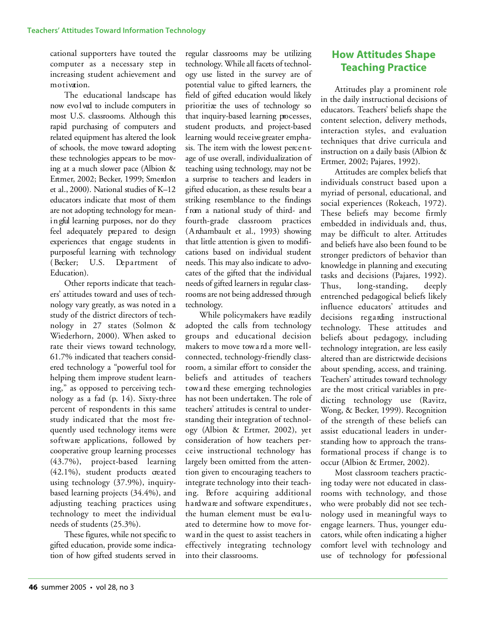cational supporters have touted the computer as a necessary step in increasing student achievement and m o tivation.

The educational landscape has now evolved to include computers in most U.S. classrooms. Although this rapid purchasing of computers and related equipment has altered the look of schools, the move toward adopting these technologies appears to be moving at a much slower pace (Albion & Ertmer, 2002; Becker, 1999; Smerdon et al., 2000). National studies of K–12 educators indicate that most of them are not adopting technology for meani n gful learning purposes, nor do they feel adequately prepared to design experiences that engage students in purposeful learning with technology (Becker; U.S. Department of Education).

Other reports indicate that teachers' attitudes toward and uses of technology vary greatly, as was noted in a study of the district directors of technology in 27 states (Solmon & Wiederhorn, 2000). When asked to rate their views toward technology, 61.7% indicated that teachers considered technology a "powerful tool for helping them improve student learning," as opposed to perceiving technology as a fad (p. 14). Sixty-three percent of respondents in this same study indicated that the most frequently used technology items were software applications, followed by cooperative group learning processes (43.7%), project-based learning  $(42.1\%)$ , student products created using technology (37.9%), inquirybased learning projects (34.4%), and adjusting teaching practices using technology to meet the individual needs of students (25.3%).

These figures, while not specific to gifted education, provide some indication of how gifted students served in regular classrooms may be utilizing technology. While all facets of technology use listed in the survey are of potential value to gifted learners, the field of gifted education would likely prioritize the uses of technology so that inquiry-based learning processes, student products, and project-based learning would receive greater emphasis. The item with the lowest percentage of use overall, individualization of teaching using technology, may not be a surprise to teachers and leaders in gifted education, as these results bear a striking resemblance to the findings f rom a national study of third- and fourth-grade classroom practices (Archambault et al., 1993) showing that little attention is given to modifications based on individual student needs. This may also indicate to advocates of the gifted that the individual needs of gifted learners in regular classrooms are not being addressed through technology.

While policymakers have readily adopted the calls from technology g roups and educational decision makers to move tow a rd a more wellconnected, technology-friendly classroom, a similar effort to consider the beliefs and attitudes of teachers tow and these emerging technologies has not been undertaken. The role of teachers' attitudes is central to understanding their integration of technology (Albion & Ertmer, 2002), yet consideration of how teachers perceive instructional technology has largely been omitted from the attention given to encouraging teachers to integrate technology into their teaching. Before acquiring additional hard ware and software expenditures, the human element must be evaluated to determine how to move forw a rd in the quest to assist teachers in effectively integrating technology into their classrooms.

# **How Attitudes Shape Teaching Practice**

Attitudes play a prominent role in the daily instructional decisions of educators. Teachers' beliefs shape the content selection, delivery methods, interaction styles, and evaluation techniques that drive curricula and instruction on a daily basis (Albion & Ertmer, 2002; Pajares, 1992).

Attitudes are complex beliefs that individuals construct based upon a myriad of personal, educational, and social experiences (Rokeach, 1972). These beliefs may become firmly embedded in individuals and, thus, may be difficult to alter. Attitudes and beliefs have also been found to be stronger predictors of behavior than knowledge in planning and executing tasks and decisions (Pajares, 1992). Thus, long-standing, deeply entrenched pedagogical beliefs likely influence educators' attitudes and decisions regarding instructional technology. These attitudes and beliefs about pedagogy, including technology integration, are less easily altered than are districtwide decisions about spending, access, and training. Teachers' attitudes toward technology are the most critical variables in predicting technology use (Ravitz, Wong, & Becker, 1999). Recognition of the strength of these beliefs can assist educational leaders in understanding how to approach the transformational process if change is to occur (Albion & Ertmer, 2002).

Most classroom teachers practicing today were not educated in classrooms with technology, and those who were probably did not see technology used in meaningful ways to engage learners. Thus, younger educators, while often indicating a higher comfort level with technology and use of technology for professional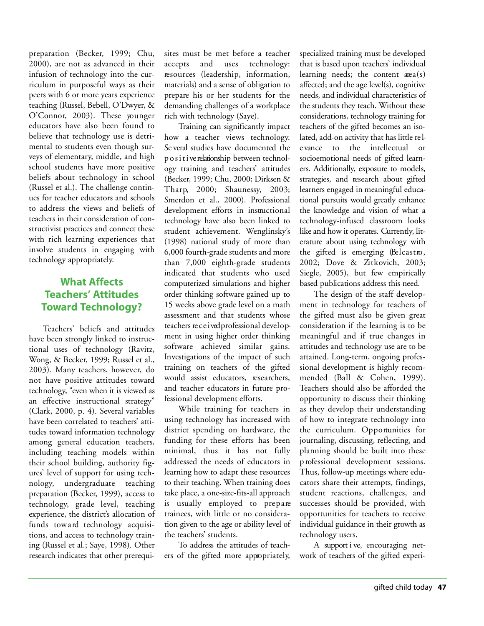preparation (Becker, 1999; Chu, 2000), are not as advanced in their infusion of technology into the curriculum in purposeful ways as their peers with 6 or more years experience teaching (Russel, Bebell, O'Dwyer, & O'Connor, 2003). These younger educators have also been found to believe that technology use is detrimental to students even though surveys of elementary, middle, and high school students have more positive beliefs about technology in school (Russel et al.). The challenge continues for teacher educators and schools to address the views and beliefs of teachers in their consideration of constructivist practices and connect these with rich learning experiences that involve students in engaging with technology appropriately.

#### **What Affects Teachers' Attitudes Toward Technology?**

Teachers' beliefs and attitudes have been strongly linked to instructional uses of technology (Ravitz, Wong, & Becker, 1999; Russel et al., 2003). Many teachers, however, do not have positive attitudes toward technology, "even when it is viewed as an effective instructional strategy" (Clark, 2000, p. 4). Several variables have been correlated to teachers' attitudes toward information technology among general education teachers, including teaching models within their school building, authority figures' level of support for using technology, undergraduate teaching preparation (Becker, 1999), access to technology, grade level, teaching experience, the district's allocation of funds toward technology acquisitions, and access to technology training (Russel et al.; Saye, 1998). Other research indicates that other prerequisites must be met before a teacher accepts and uses technology: resources (leadership, information, materials) and a sense of obligation to prepare his or her students for the demanding challenges of a workplace rich with technology (Saye).

Training can significantly impact how a teacher views technology. Se veral studies have documented the p o s i t i ve relationship between technology training and teachers' attitudes (Becker, 1999; Chu, 2000; Dirksen & Tharp,  $2000$ ; Shaunessy,  $2003$ ; Smerdon et al., 2000). Professional development efforts in instructional technology have also been linked to student achievement. Wenglinsky's (1998) national study of more than 6,000 fourth-grade students and more than 7,000 eighth-grade students indicated that students who used computerized simulations and higher order thinking software gained up to 15 weeks above grade level on a math assessment and that students whose teachers received professional development in using higher order thinking software achieved similar gains. In vestigations of the impact of such training on teachers of the gifted would assist educators, researchers, and teacher educators in future professional development efforts.

While training for teachers in using technology has increased with district spending on hardware, the funding for these efforts has been minimal, thus it has not fully addressed the needs of educators in learning how to adapt these resources to their teaching. When training does take place, a one-size-fits-all approach is usually employed to prepare trainees, with little or no consideration given to the age or ability level of the teachers' students.

To address the attitudes of teachers of the gifted more appropriately, specialized training must be developed that is based upon teachers' individual learning needs; the content  $area(s)$ affected; and the age level(s), cognitive needs, and individual characteristics of the students they teach. Without these considerations, technology training for teachers of the gifted becomes an isolated, add-on activity that has little re le vance to the intellectual or socioemotional needs of gifted learners. Additionally, exposure to models, strategies, and research about gifted learners engaged in meaningful educational pursuits would greatly enhance the knowledge and vision of what a technology-infused classroom looks like and how it operates. Currently, literature about using technology with the gifted is emerging (Belcastro, 2002; Dove & Ztkovich, 2003; Siegle, 2005), but few empirically based publications address this need.

The design of the staff development in technology for teachers of the gifted must also be given great consideration if the learning is to be meaningful and if true changes in attitudes and technology use are to be attained. Long-term, ongoing professional development is highly recommended (Ball & Cohen, 1999). Teachers should also be afforded the opportunity to discuss their thinking as they develop their understanding of how to integrate technology into the curriculum. Opportunities for journaling, discussing, reflecting, and planning should be built into these p rofessional development sessions. Thus, follow-up meetings where educators share their attempts, findings, student reactions, challenges, and successes should be provided, with opportunities for teachers to receive individual guidance in their growth as technology users.

A support i ve, encouraging network of teachers of the gifted experi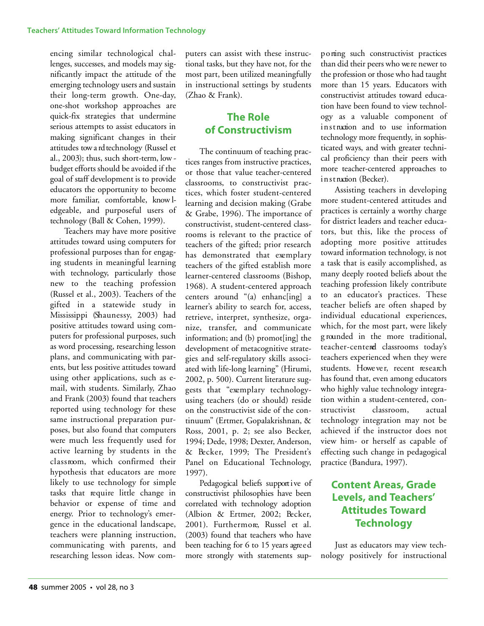encing similar technological challenges, successes, and models may significantly impact the attitude of the emerging technology users and sustain their long-term growth. One-day, one-shot workshop approaches are quick-fix strategies that undermine serious attempts to assist educators in making significant changes in their attitudes tow a rd technology (Russel et al., 2003); thus, such short-term, low budget efforts should be avoided if the goal of staff development is to provide educators the opportunity to become more familiar, comfortable, know ledgeable, and purposeful users of technology (Ball & Cohen, 1999).

Teachers may have more positive attitudes toward using computers for professional purposes than for engaging students in meaningful learning with technology, particularly those new to the teaching profession (Russel et al., 2003). Teachers of the gifted in a statewide study in Mississippi (Shaunessy, 2003) had positive attitudes toward using computers for professional purposes, such as word processing, researching lesson plans, and communicating with parents, but less positive attitudes toward using other applications, such as email, with students. Similarly, Zhao and Frank (2003) found that teachers reported using technology for these same instructional preparation purposes, but also found that computers were much less frequently used for active learning by students in the classroom, which confirmed their hypothesis that educators are more likely to use technology for simple tasks that require little change in behavior or expense of time and energy. Prior to technology's emergence in the educational landscape, teachers were planning instruction, communicating with parents, and researching lesson ideas. Now computers can assist with these instructional tasks, but they have not, for the most part, been utilized meaningfully in instructional settings by students (Zhao & Frank).

### **The Role of Constructivism**

The continuum of teaching practices ranges from instructive practices, or those that value teacher-centered classrooms, to constructivist practices, which foster student-centered learning and decision making (Grabe & Grabe, 1996). The importance of constructivist, student-centered classrooms is relevant to the practice of teachers of the gifted; prior research has demonstrated that exemplary teachers of the gifted establish more learner-centered classrooms (Bishop, 1968). A student-centered approach centers around "(a) enhanc[ing] a learner's ability to search for, access, retrieve, interpret, synthesize, organize, transfer, and communicate information; and (b) promot[ing] the development of metacognitive strategies and self-regulatory skills associated with life-long learning" (Hirumi, 2002, p. 500). Current literature suggests that "exemplary technologyusing teachers (do or should) reside on the constructivist side of the continuum" (Ertmer, Gopalakrishnan, & Ross, 2001, p. 2; see also Becker, 1994; Dede, 1998; Dexter, Anderson, & Becker, 1999; The President's Panel on Educational Technology, 1997).

Pedagogical beliefs support ive of constructivist philosophies have been correlated with technology adoption (Albion & Ertmer, 2002; Becker, 2001). Furthermore, Russel et al. (2003) found that teachers who have been teaching for 6 to 15 years agreed more strongly with statements supp o rting such constructivist practices than did their peers who we re newer to the profession or those who had taught more than 15 years. Educators with constructivist attitudes toward education have been found to view technology as a valuable component of in struction and to use information technology more frequently, in sophisticated ways, and with greater technical proficiency than their peers with more teacher-centered approaches to in struction (Becker).

Assisting teachers in developing more student-centered attitudes and practices is certainly a worthy charge for district leaders and teacher educators, but this, like the process of adopting more positive attitudes toward information technology, is not a task that is easily accomplished, as many deeply rooted beliefs about the teaching profession likely contribute to an educator's practices. These teacher beliefs are often shaped by individual educational experiences, which, for the most part, were likely g rounded in the more traditional, teacher-centerel classrooms today's teachers experienced when they were students. Howe ver, recent research has found that, even among educators who highly value technology integration within a student-centered, constructivist classroom, actual technology integration may not be achieved if the instructor does not view him- or herself as capable of effecting such change in pedagogical practice (Bandura, 1997).

# **Content Areas, Grade Levels, and Teachers' Attitudes Toward Technology**

Just as educators may view technology positively for instructional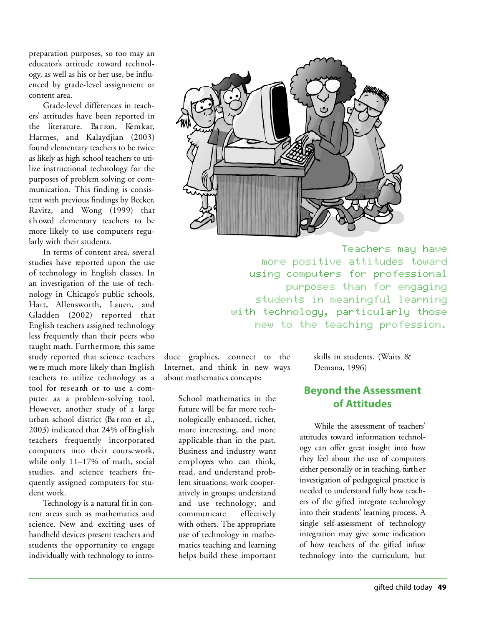preparation purposes, so too may an educator's attitude toward technology, as well as his or her use, be influenced by grade-level assignment or content area.

Grade-level differences in teachers' attitudes have been reported in the literature. Bar ron, Kemkar, Harmes, and Kalaydjian (2003) found elementary teachers to be twice as likely as high school teachers to utilize instructional technology for the purposes of problem solving or communication. This finding is consistent with previous findings by Becker, Ravitz, and Wong (1999) that s h owed elementary teachers to be more likely to use computers regularly with their students.

In terms of content area, several studies have reported upon the use of technology in English classes. In an investigation of the use of technology in Chicago's public schools, Hart, Allensworth, Lauen, and Gladden (2002) reported that English teachers assigned technology less frequently than their peers who taught math. Furthermore, this same study reported that science teachers we re much more likely than English teachers to utilize technology as a tool for research or to use a computer as a problem-solving tool. However, another study of a large urban school district (Ba r ron et al., 2003) indicated that 24% of English teachers frequently incorporated computers into their coursework, while only 11–17% of math, social studies, and science teachers frequently assigned computers for student work.

Technology is a natural fit in content areas such as mathematics and science. New and exciting uses of handheld devices present teachers and students the opportunity to engage individually with technology to intro-



Teachers may have more positive attitudes toward using computers for professional purposes than for engaging students in meaningful learning with technology, particularly those new to the teaching profession.

duce graphics, connect to the Internet, and think in new ways about mathematics concepts:

> School mathematics in the future will be far more technologically enhanced, richer, more interesting, and more applicable than in the past. Business and industry want employees who can think, read, and understand problem situations; work cooperatively in groups; understand and use technology; and communicate effectively with others. The appropriate use of technology in mathematics teaching and learning helps build these important

skills in students. (Waits & Demana, 1996)

### **Beyond the Assessment of Attitudes**

While the assessment of teachers' attitudes toward information technology can offer great insight into how they feel about the use of computers either personally or in teaching, further investigation of pedagogical practice is needed to understand fully how teachers of the gifted integrate technology into their students' learning process. A single self-assessment of technology integration may give some indication of how teachers of the gifted infuse technology into the curriculum, but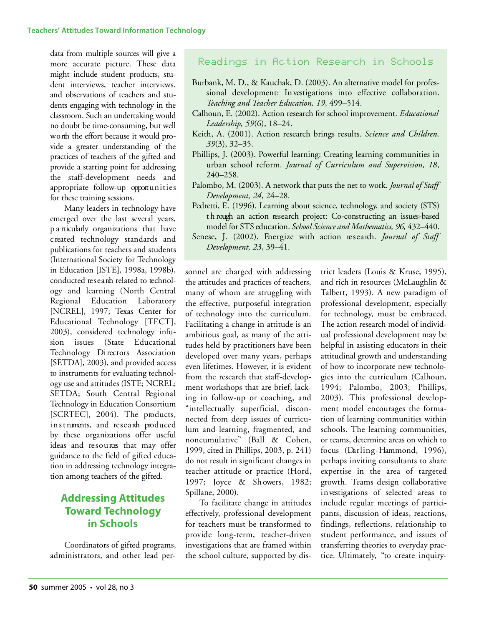data from multiple sources will give a more accurate picture. These data might include student products, student interviews, teacher interviews, and observations of teachers and students engaging with technology in the classroom. Such an undertaking would no doubt be time-consuming, but well worth the effort because it would provide a greater understanding of the practices of teachers of the gifted and provide a starting point for addressing the staff-development needs and appropriate follow-up opportunities for these training sessions.

Many leaders in technology have emerged over the last several years, p a rticularly organizations that have c reated technology standards and publications for teachers and students (International Society for Technology in Education [ISTE], 1998a, 1998b), conducted research related to technology and learning (North Central Regional Education Laboratory [NCREL], 1997; Texas Center for Educational Technology [TECT], 2003), considered technology infusion issues (State Educational Technology Di rectors Association [SETDA], 2003), and provided access to instruments for evaluating technology use and attitudes (ISTE; NCREL; SETDA; South Central Regional Technology in Education Consortium  $[SCRTEC]$ , 2004). The products, in struments, and research produced by these organizations offer useful ideas and resources that may offer guidance to the field of gifted education in addressing technology integration among teachers of the gifted.

## **Addressing Attitudes Toward Technology in Schools**

Coordinators of gifted programs, administrators, and other lead per-

#### Readings in Action Research in Schools

- Burbank, M. D., & Kauchak, D. (2003). An alternative model for professional development: In vestigations into effective collaboration. *Teaching and Teacher Education, 19*, 499–514.
- Calhoun, E. (2002). Action research for school improvement. *Educational Leadership, 59*(6), 18–24.
- Keith, A. (2001). Action research brings results. *Science and Children, 39*(3), 32–35.
- Phillips, J. (2003). Powerful learning: Creating learning communities in urban school reform. *Journal of Curriculum and Supervision, 18*, 240–258.
- Palombo, M. (2003). A network that puts the net to work. *Journal of Staff Development, 24*, 24–28.
- Pedretti, E. (1996). Learning about science, technology, and society (STS) th rough an action research project: Co-constructing an issues-based model for STS education. *School Science and Mathematics, 96,* 4 3 2 – 4 4 0 .
- Senese, J. (2002). Energize with action research. *Journal of Staff Development, 23*, 39–41.

sonnel are charged with addressing the attitudes and practices of teachers, many of whom are struggling with the effective, purposeful integration of technology into the curriculum. Facilitating a change in attitude is an ambitious goal, as many of the attitudes held by practitioners have been developed over many years, perhaps even lifetimes. However, it is evident from the research that staff-development workshops that are brief, lacking in follow-up or coaching, and "intellectually superficial, disconnected from deep issues of curriculum and learning, fragmented, and noncumulative" (Ball & Cohen, 1999, cited in Phillips, 2003, p. 241) do not result in significant changes in teacher attitude or practice (Hord, 1997; Joyce & Sh owers, 1982; Spillane, 2000).

To facilitate change in attitudes effectively, professional development for teachers must be transformed to provide long-term, teacher-driven investigations that are framed within the school culture, supported by district leaders (Louis & Kruse, 1995), and rich in resources (McLaughlin & Talbert, 1993). A new paradigm of professional development, especially for technology, must be embraced. The action research model of individual professional development may be helpful in assisting educators in their attitudinal growth and understanding of how to incorporate new technologies into the curriculum (Calhoun, 1994; Palombo, 2003; Phillips, 2003). This professional development model encourages the formation of learning communities within schools. The learning communities, or teams, determine areas on which to focus (Darling-Hammond, 1996), perhaps inviting consultants to share expertise in the area of targeted growth. Teams design collaborative investigations of selected areas to include regular meetings of participants, discussion of ideas, reactions, findings, reflections, relationship to student performance, and issues of transferring theories to everyday practice. Ultimately, "to create inquiry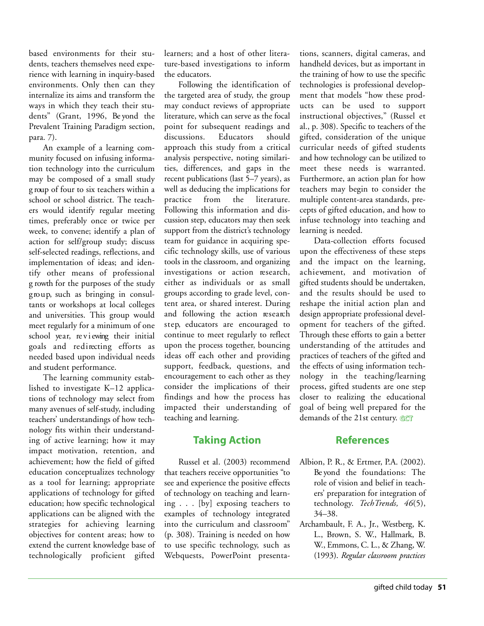based environments for their students, teachers themselves need experience with learning in inquiry-based environments. Only then can they internalize its aims and transform the ways in which they teach their students" (Grant, 1996, Beyond the Prevalent Training Paradigm section, para. 7).

An example of a learning community focused on infusing information technology into the curriculum may be composed of a small study g roup of four to six teachers within a school or school district. The teachers would identify regular meeting times, preferably once or twice per week, to convene; identify a plan of action for self/group study; discuss self-selected readings, reflections, and implementation of ideas; and identify other means of professional g rowth for the purposes of the study group, such as bringing in consultants or workshops at local colleges and universities. This group would meet regularly for a minimum of one school year, reviewing their initial goals and redirecting efforts as needed based upon individual needs and student performance.

The learning community established to investigate K–12 applications of technology may select from many avenues of self-study, including teachers' understandings of how technology fits within their understanding of active learning; how it may impact motivation, retention, and achievement; how the field of gifted education conceptualizes technology as a tool for learning; appropriate applications of technology for gifted education; how specific technological applications can be aligned with the strategies for achieving learning objectives for content areas; how to extend the current knowledge base of technologically proficient gifted

learners; and a host of other literature-based investigations to inform the educators.

Following the identification of the targeted area of study, the group may conduct reviews of appropriate literature, which can serve as the focal point for subsequent readings and discussions. Educators should approach this study from a critical analysis perspective, noting similarities, differences, and gaps in the recent publications (last 5–7 years), as well as deducing the implications for practice from the literature. Following this information and discussion step, educators may then seek support from the district's technology team for guidance in acquiring specific technology skills, use of various tools in the classroom, and organizing investigations or action research, either as individuals or as small groups according to grade level, content area, or shared interest. During and following the action research step, educators are encouraged to continue to meet regularly to reflect upon the process together, bouncing ideas off each other and providing support, feedback, questions, and encouragement to each other as they consider the implications of their findings and how the process has impacted their understanding of teaching and learning.

#### **Taking Action**

Russel et al. (2003) recommend that teachers receive opportunities "to see and experience the positive effects of technology on teaching and learning . . . [by] exposing teachers to examples of technology integrated into the curriculum and classroom" (p. 308). Training is needed on how to use specific technology, such as Webquests, PowerPoint presenta-

tions, scanners, digital cameras, and handheld devices, but as important in the training of how to use the specific technologies is professional development that models "how these products can be used to support instructional objectives," (Russel et al., p. 308). Specific to teachers of the gifted, consideration of the unique curricular needs of gifted students and how technology can be utilized to meet these needs is warranted. Furthermore, an action plan for how teachers may begin to consider the multiple content-area standards, precepts of gifted education, and how to infuse technology into teaching and learning is needed.

Data-collection efforts focused upon the effectiveness of these steps and the impact on the learning, achievement, and motivation of gifted students should be undertaken, and the results should be used to reshape the initial action plan and design appropriate professional development for teachers of the gifted. Through these efforts to gain a better understanding of the attitudes and practices of teachers of the gifted and the effects of using information technology in the teaching/learning process, gifted students are one step closer to realizing the educational goal of being well prepared for the demands of the 21st century. GCT

#### **References**

- Albion, P. R., & Ertmer, P.A. (2002). Be yond the foundations: The role of vision and belief in teachers' preparation for integration of technology. TechTrends, 46(5), 34–38.
- Archambault, F. A., Jr., Westberg, K. L., Brown, S. W., Hallmark, B. W., Emmons, C. L., & Zhang, W. (1993). Regular classroom practices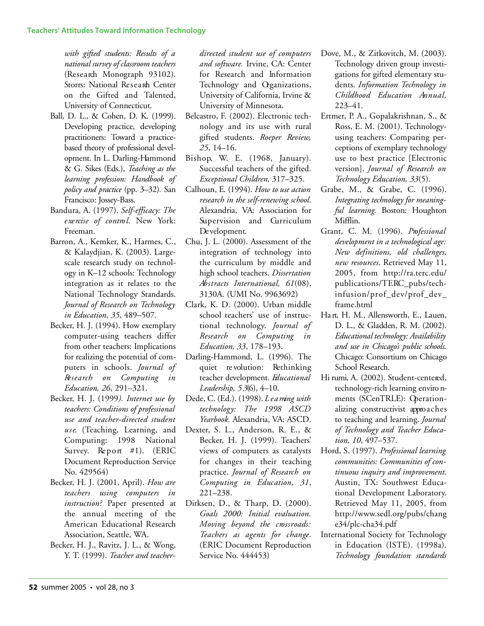*with gifted students: Results of a national survey of classroom teachers* (Research Monograph 93102). Storrs: National Research Center on the Gifted and Talented, University of Connecticut.

- Ball, D. L., & Cohen, D. K. (1999). Developing practice, developing practitioners: Toward a practicebased theory of professional development. In L. Darling-Hammond & G. Sikes (Eds.), *Teaching as the l e a rning profession: Handbook of policy and practice* (pp. 3–32). San Francisco: Jossey-Bass.
- Bandura, A. (1997). *Self-efficacy: The exercise of control.* New York: Freeman.
- Barron, A., Kemker, K., Harmes, C., & Kalaydjian, K. (2003). Largescale research study on technology in K–12 schools: Technology integration as it relates to the National Technology Standards. *Journal of Research on Technology in Education, 35*, 489–507.
- Becker, H. J. (1994). How exemplary computer-using teachers differ from other teachers: Implications for realizing the potential of computers in schools. *Journal of Re s e a rch on Computing in Education, 26*, 291–321.
- Becker, H. J. (1999*). Internet use by teachers: Conditions of professional use and teacher-directed student* use. (Teaching, Learning, and Computing: 1998 National Survey. Report #1). (ERIC Document Reproduction Service No. 429564)
- Becker, H. J. (2001, April). *How are teachers using computers in instruction?* Paper presented at the annual meeting of the American Educational Research Association, Seattle, WA.
- Becker, H. J., Ravitz, J. L., & Wong, Y. T. (1999). *Teacher and teacher-*

*directed student use of computers and software.* Irvine, CA: Center for Research and Information Technology and Oganizations, University of California, Irvine & University of Minnesota.

- Belcastro, F. (2002). Electronic technology and its use with rural gifted students. Roeper Review, *25*, 14–16.
- Bishop, W. E.  $(1968, \text{January})$ . Successful teachers of the gifted. *Exceptional Children,* 317–325.
- Calhoun, E. (1994). *How to use action re s e a rch in the self-renewing school*. Alexandria, VA: Association for Supervision and Gurriculum De velopment.
- Chu, J. L. (2000). Assessment of the integration of technology into the curriculum by middle and high school teachers. *Dissertation Ab s t racts In t e rnational, 61*( 0 8 ) , 3130A. (UMI No. 9963692)
- Clark, K. D. (2000). Urban middle school teachers' use of instructional technology. *Journal of Re s e a rch on Computing in Education, 33*, 178–193.
- Darling-Hammond, L. (1996). The quiet re volution: Rethinking teacher development. **Educational** *L e a d e r s h i p , 5 3*(6), 4–10.
- Dede, C. (Ed.). (1998). *L e a rning with t e c h n o l o gy: The 1998 ASCD Ye a r b o o k .* Alexandria, VA: ASCD.
- Dexter, S. L., Anderson, R. E., & Becker, H. J. (1999). Teachers' views of computers as catalysts for changes in their teaching practice. *Journal of Research on Computing in Education, 31*, 221–238.
- Dirksen, D., & Tharp, D. (2000). *Goals* 2000: Initial evaluation. *Moving beyond the cro s s ro a d s : Teachers as agents for change*. (ERIC Document Reproduction Service No. 444453)
- Dove, M., & Zitkovitch, M. (2003). Technology driven group investigations for gifted elementary students. *Information Technology in Childhood Education Annual*, 223–41.
- Ertmer, P. A., Gopalakrishnan, S., & Ross, E. M. (2001). Technologyusing teachers: Comparing perceptions of exemplary technology use to best practice [Electronic version]. *Journal of Research on Technology Education, 33*(5).
- Grabe, M., & Grabe, C. (1996). Integrating technology for meaning*ful learning*. Boston: Houghton Mifflin.
- Grant, C. M. (1996). *Professional development in a technological age: New definitions, old challenges, new resources*. Retrieved May 11, 2005, from http://ra.terc.edu/ publications/TERC\_pubs/tech $infusion/prof\_dev/prof\_dev$ frame.html
- Ha rt, H. M., Allensworth, E., Lauen, D. L., & Gladden, R. M. (2002). *Educational technology: Ava i l a b i l i t y and use in Chicago's public schools.* Chicago: Consortium on Chicago School Research.
- Hi rumi, A. (2002). Student-centered, technology-rich learning enviro nments (SCenTRLE): Operationalizing constructivist approaches to teaching and learning. *Journal of Te c h n o l o gy and Teacher Ed u c a tion, 10*, 497–537.
- Hord, S. (1997). *Professional learning communities: Communities of continuous inquiry and improvement*. Austin, TX: Southwest Educational Development Laboratory. Retrieved May 11, 2005, from http://www.sedl.org/pubs/chang e34/plc-cha34.pdf
- International Society for Technology in Education (ISTE). (1998a).  $Technology$  foundation standards